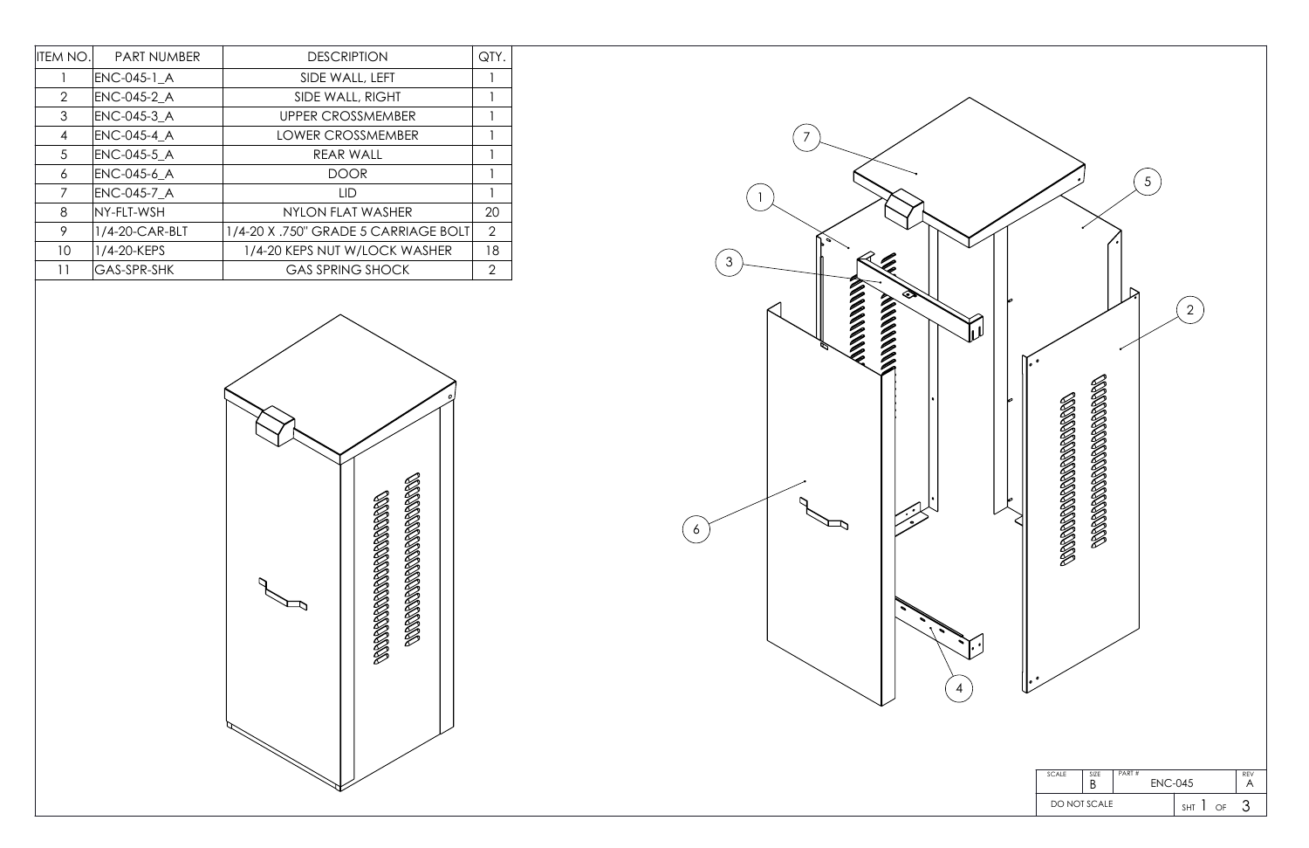| ITEM NO.       | <b>PART NUMBER</b> | <b>DESCRIPTION</b>                   | QTY.           |
|----------------|--------------------|--------------------------------------|----------------|
|                | ENC-045-1 A        | SIDE WALL, LEFT                      |                |
| 2              | ENC-045-2_A        | SIDE WALL, RIGHT                     |                |
| 3              | ENC-045-3 A        | <b>UPPER CROSSMEMBER</b>             |                |
| $\overline{4}$ | <b>ENC-045-4 A</b> | <b>LOWER CROSSMEMBER</b>             |                |
| 5              | <b>ENC-045-5 A</b> | REAR WALL                            |                |
| 6              | ENC-045-6_A        | <b>DOOR</b>                          |                |
| 7              | <b>ENC-045-7 A</b> | LID                                  |                |
| 8              | NY-FLT-WSH         | NYLON FLAT WASHER                    | 20             |
| 9              | 1/4-20-CAR-BLT     | 1/4-20 X .750" GRADE 5 CARRIAGE BOLT | $\overline{2}$ |
| 10             | 1/4-20-KEPS        | 1/4-20 KEPS NUT W/LOCK WASHER        | 18             |
| 11             | <b>GAS-SPR-SHK</b> | <b>GAS SPRING SHOCK</b>              | 2              |



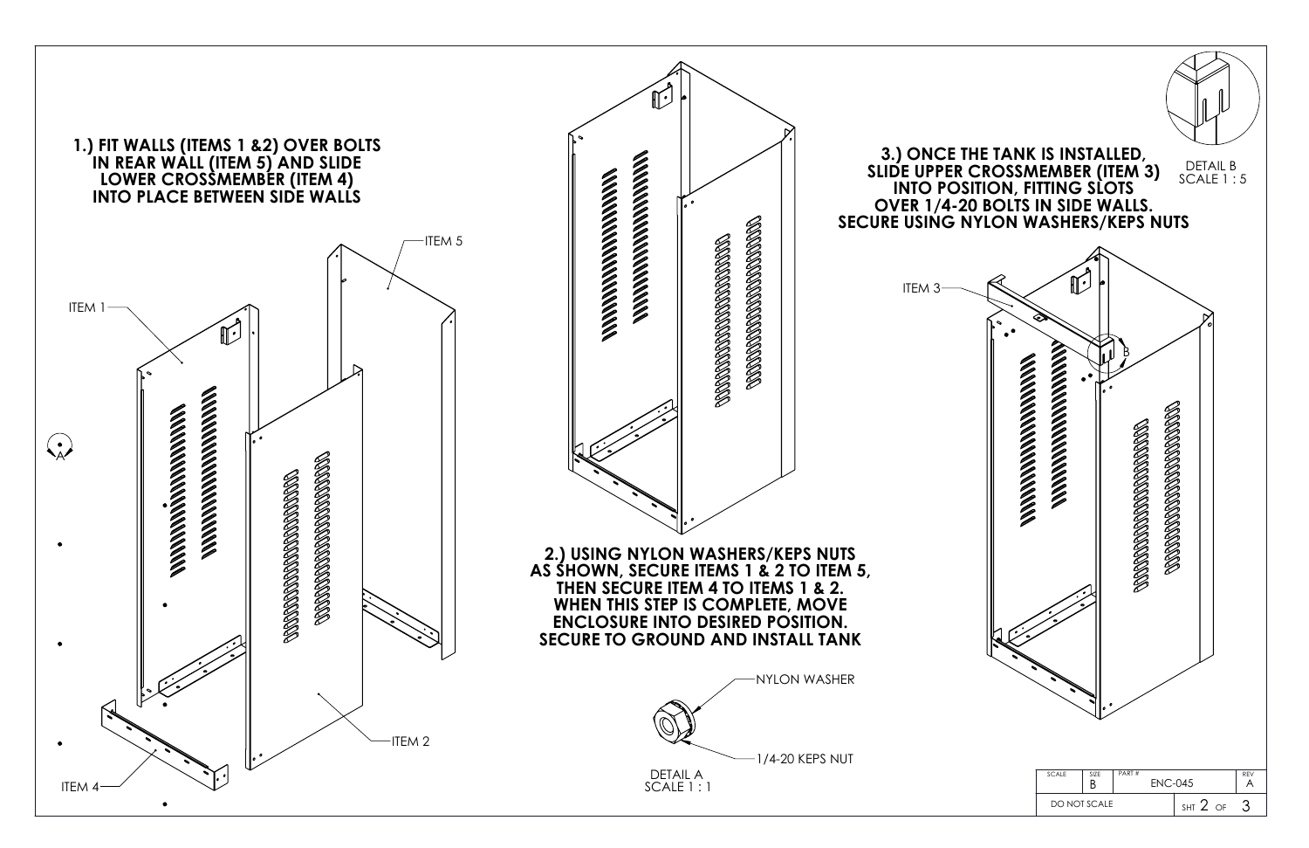